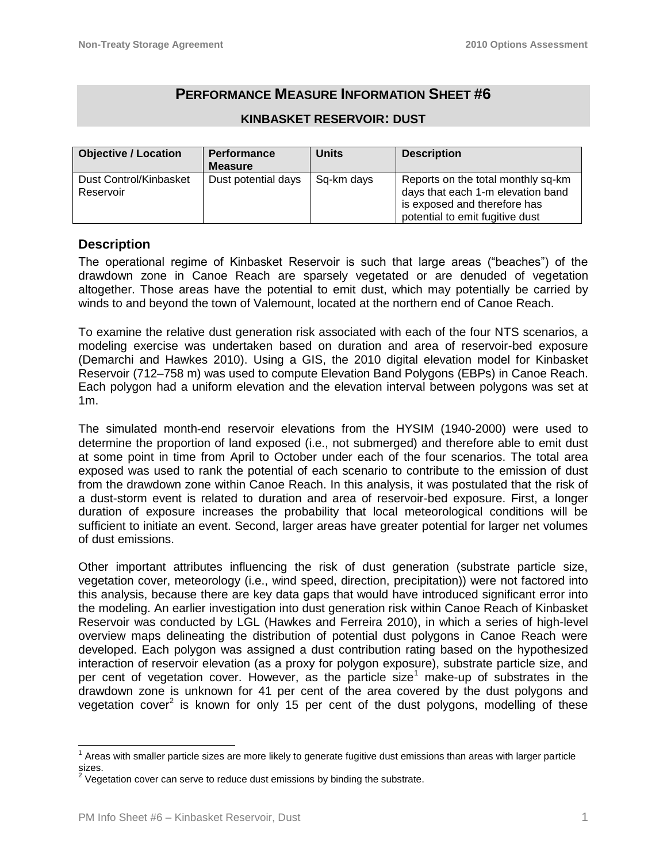# **PERFORMANCE MEASURE INFORMATION SHEET #6**

| <b>Objective / Location</b>         | <b>Performance</b><br><b>Measure</b> | <b>Units</b> | <b>Description</b>                                                                                                                         |
|-------------------------------------|--------------------------------------|--------------|--------------------------------------------------------------------------------------------------------------------------------------------|
| Dust Control/Kinbasket<br>Reservoir | Dust potential days                  | Sq-km days   | Reports on the total monthly sq-km<br>days that each 1-m elevation band<br>is exposed and therefore has<br>potential to emit fugitive dust |

#### **KINBASKET RESERVOIR: DUST**

## **Description**

The operational regime of Kinbasket Reservoir is such that large areas ("beaches") of the drawdown zone in Canoe Reach are sparsely vegetated or are denuded of vegetation altogether. Those areas have the potential to emit dust, which may potentially be carried by winds to and beyond the town of Valemount, located at the northern end of Canoe Reach.

To examine the relative dust generation risk associated with each of the four NTS scenarios, a modeling exercise was undertaken based on duration and area of reservoir-bed exposure (Demarchi and Hawkes 2010). Using a GIS, the 2010 digital elevation model for Kinbasket Reservoir (712–758 m) was used to compute Elevation Band Polygons (EBPs) in Canoe Reach. Each polygon had a uniform elevation and the elevation interval between polygons was set at 1m.

The simulated month‐end reservoir elevations from the HYSIM (1940-2000) were used to determine the proportion of land exposed (i.e., not submerged) and therefore able to emit dust at some point in time from April to October under each of the four scenarios. The total area exposed was used to rank the potential of each scenario to contribute to the emission of dust from the drawdown zone within Canoe Reach. In this analysis, it was postulated that the risk of a dust-storm event is related to duration and area of reservoir-bed exposure. First, a longer duration of exposure increases the probability that local meteorological conditions will be sufficient to initiate an event. Second, larger areas have greater potential for larger net volumes of dust emissions.

Other important attributes influencing the risk of dust generation (substrate particle size, vegetation cover, meteorology (i.e., wind speed, direction, precipitation)) were not factored into this analysis, because there are key data gaps that would have introduced significant error into the modeling. An earlier investigation into dust generation risk within Canoe Reach of Kinbasket Reservoir was conducted by LGL (Hawkes and Ferreira 2010), in which a series of high-level overview maps delineating the distribution of potential dust polygons in Canoe Reach were developed. Each polygon was assigned a dust contribution rating based on the hypothesized interaction of reservoir elevation (as a proxy for polygon exposure), substrate particle size, and per cent of vegetation cover. However, as the particle size<sup>1</sup> make-up of substrates in the drawdown zone is unknown for 41 per cent of the area covered by the dust polygons and vegetation cover<sup>2</sup> is known for only 15 per cent of the dust polygons, modelling of these

 $1$  Areas with smaller particle sizes are more likely to generate fugitive dust emissions than areas with larger particle sizes.<br><sup>2</sup> Vea

Vegetation cover can serve to reduce dust emissions by binding the substrate.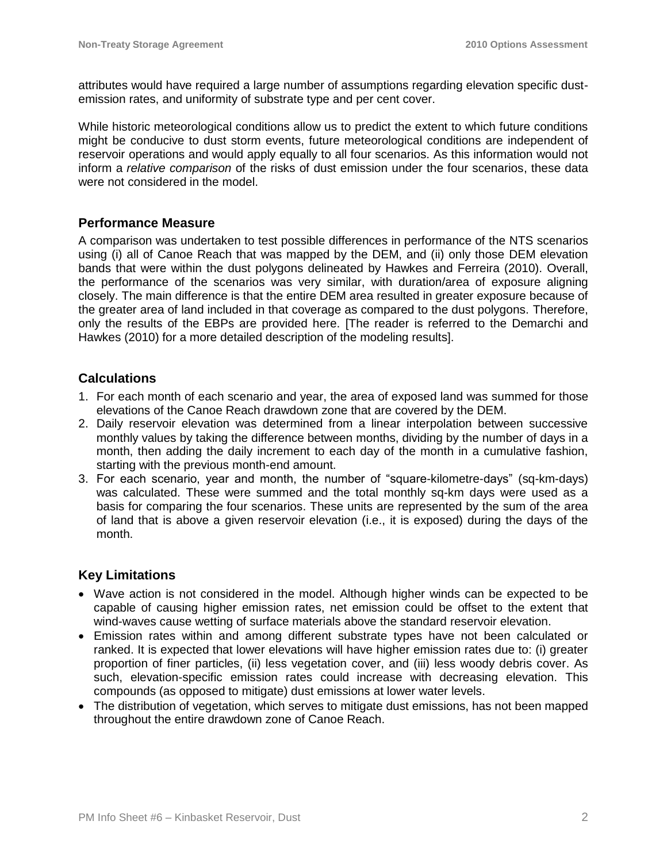attributes would have required a large number of assumptions regarding elevation specific dustemission rates, and uniformity of substrate type and per cent cover.

While historic meteorological conditions allow us to predict the extent to which future conditions might be conducive to dust storm events, future meteorological conditions are independent of reservoir operations and would apply equally to all four scenarios. As this information would not inform a *relative comparison* of the risks of dust emission under the four scenarios, these data were not considered in the model.

## **Performance Measure**

A comparison was undertaken to test possible differences in performance of the NTS scenarios using (i) all of Canoe Reach that was mapped by the DEM, and (ii) only those DEM elevation bands that were within the dust polygons delineated by Hawkes and Ferreira (2010). Overall, the performance of the scenarios was very similar, with duration/area of exposure aligning closely. The main difference is that the entire DEM area resulted in greater exposure because of the greater area of land included in that coverage as compared to the dust polygons. Therefore, only the results of the EBPs are provided here. [The reader is referred to the Demarchi and Hawkes (2010) for a more detailed description of the modeling results].

## **Calculations**

- 1. For each month of each scenario and year, the area of exposed land was summed for those elevations of the Canoe Reach drawdown zone that are covered by the DEM.
- 2. Daily reservoir elevation was determined from a linear interpolation between successive monthly values by taking the difference between months, dividing by the number of days in a month, then adding the daily increment to each day of the month in a cumulative fashion, starting with the previous month-end amount.
- 3. For each scenario, year and month, the number of "square-kilometre-days" (sq-km-days) was calculated. These were summed and the total monthly sq-km days were used as a basis for comparing the four scenarios. These units are represented by the sum of the area of land that is above a given reservoir elevation (i.e., it is exposed) during the days of the month.

## **Key Limitations**

- Wave action is not considered in the model. Although higher winds can be expected to be capable of causing higher emission rates, net emission could be offset to the extent that wind-waves cause wetting of surface materials above the standard reservoir elevation.
- Emission rates within and among different substrate types have not been calculated or ranked. It is expected that lower elevations will have higher emission rates due to: (i) greater proportion of finer particles, (ii) less vegetation cover, and (iii) less woody debris cover. As such, elevation-specific emission rates could increase with decreasing elevation. This compounds (as opposed to mitigate) dust emissions at lower water levels.
- The distribution of vegetation, which serves to mitigate dust emissions, has not been mapped throughout the entire drawdown zone of Canoe Reach.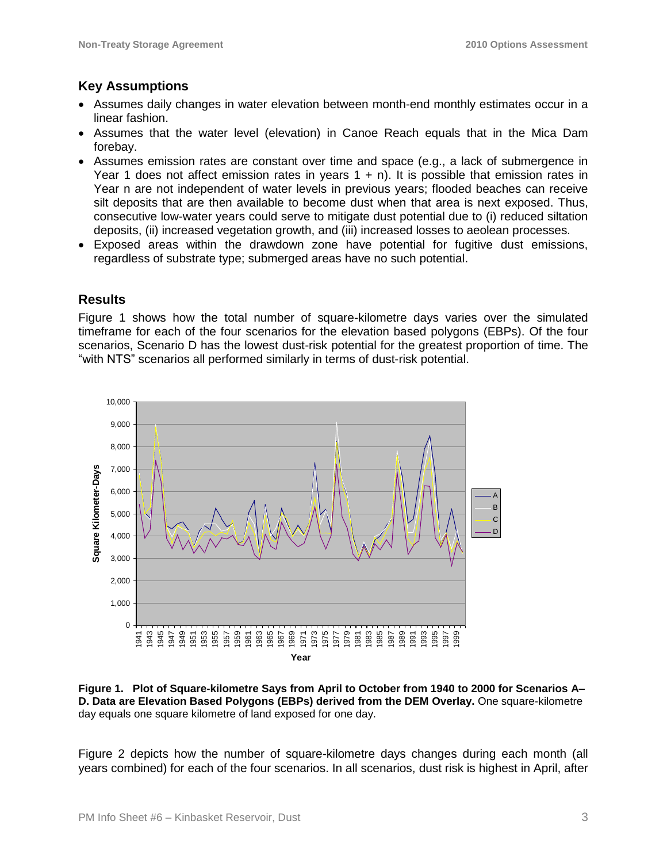## **Key Assumptions**

- Assumes daily changes in water elevation between month-end monthly estimates occur in a linear fashion.
- Assumes that the water level (elevation) in Canoe Reach equals that in the Mica Dam forebay.
- Assumes emission rates are constant over time and space (e.g., a lack of submergence in Year 1 does not affect emission rates in years  $1 + n$ ). It is possible that emission rates in Year n are not independent of water levels in previous years; flooded beaches can receive silt deposits that are then available to become dust when that area is next exposed. Thus, consecutive low-water years could serve to mitigate dust potential due to (i) reduced siltation deposits, (ii) increased vegetation growth, and (iii) increased losses to aeolean processes.
- Exposed areas within the drawdown zone have potential for fugitive dust emissions, regardless of substrate type; submerged areas have no such potential.

# **Results**

Figure 1 shows how the total number of square-kilometre days varies over the simulated timeframe for each of the four scenarios for the elevation based polygons (EBPs). Of the four scenarios, Scenario D has the lowest dust-risk potential for the greatest proportion of time. The "with NTS" scenarios all performed similarly in terms of dust-risk potential.



**Figure 1. Plot of Square-kilometre Says from April to October from 1940 to 2000 for Scenarios A– D. Data are Elevation Based Polygons (EBPs) derived from the DEM Overlay.** One square-kilometre day equals one square kilometre of land exposed for one day.

Figure 2 depicts how the number of square-kilometre days changes during each month (all years combined) for each of the four scenarios. In all scenarios, dust risk is highest in April, after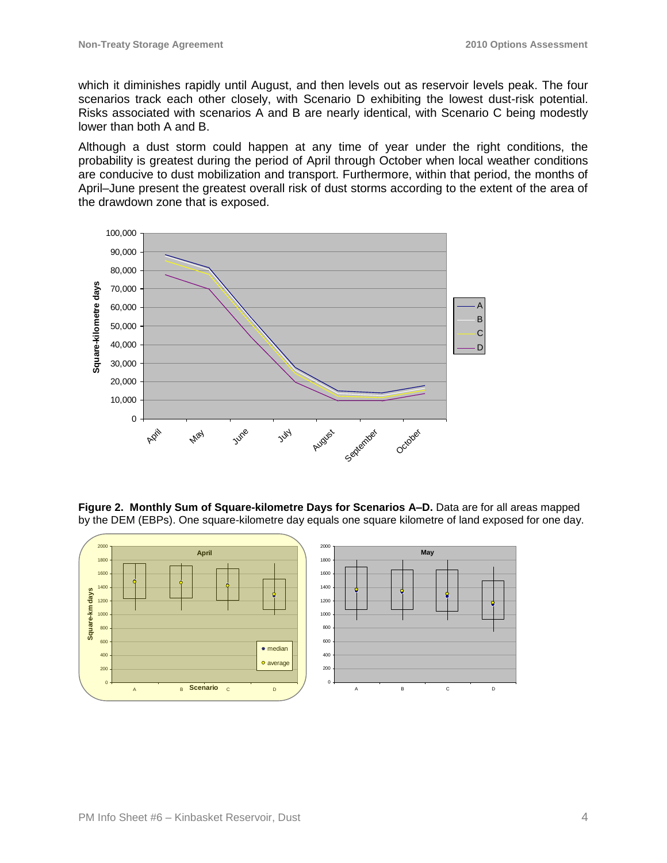which it diminishes rapidly until August, and then levels out as reservoir levels peak. The four scenarios track each other closely, with Scenario D exhibiting the lowest dust-risk potential. Risks associated with scenarios A and B are nearly identical, with Scenario C being modestly lower than both A and B.

Although a dust storm could happen at any time of year under the right conditions, the probability is greatest during the period of April through October when local weather conditions are conducive to dust mobilization and transport. Furthermore, within that period, the months of April–June present the greatest overall risk of dust storms according to the extent of the area of the drawdown zone that is exposed.



**Figure 2. Monthly Sum of Square-kilometre Days for Scenarios A–D.** Data are for all areas mapped by the DEM (EBPs). One square-kilometre day equals one square kilometre of land exposed for one day.

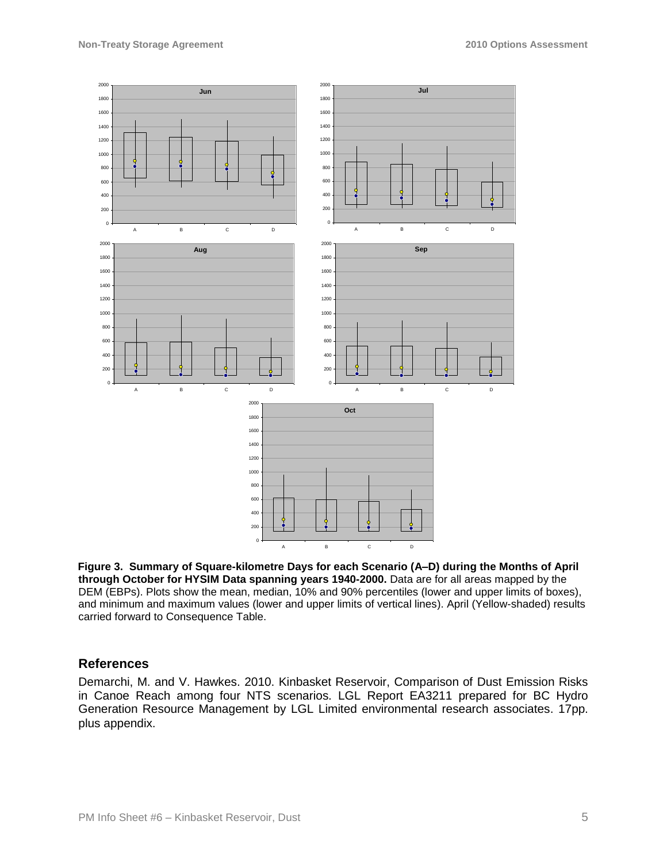

**Figure 3. Summary of Square-kilometre Days for each Scenario (A–D) during the Months of April through October for HYSIM Data spanning years 1940-2000.** Data are for all areas mapped by the DEM (EBPs). Plots show the mean, median, 10% and 90% percentiles (lower and upper limits of boxes), and minimum and maximum values (lower and upper limits of vertical lines). April (Yellow-shaded) results carried forward to Consequence Table.

#### **References**

Demarchi, M. and V. Hawkes. 2010. Kinbasket Reservoir, Comparison of Dust Emission Risks in Canoe Reach among four NTS scenarios. LGL Report EA3211 prepared for BC Hydro Generation Resource Management by LGL Limited environmental research associates. 17pp. plus appendix.